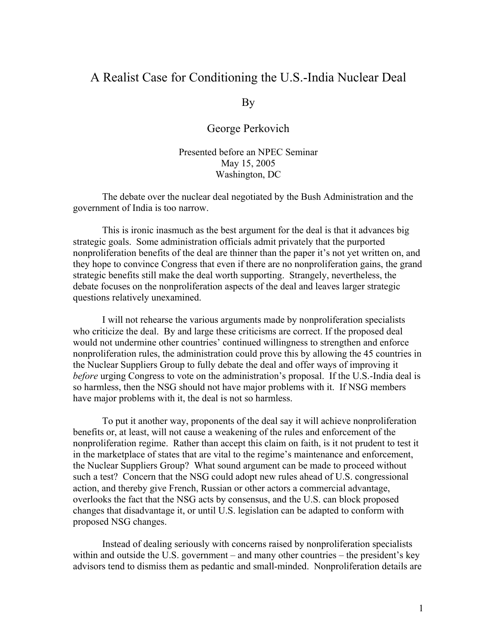## A Realist Case for Conditioning the U.S.-India Nuclear Deal

By

## George Perkovich

## Presented before an NPEC Seminar May 15, 2005 Washington, DC

 The debate over the nuclear deal negotiated by the Bush Administration and the government of India is too narrow.

 This is ironic inasmuch as the best argument for the deal is that it advances big strategic goals. Some administration officials admit privately that the purported nonproliferation benefits of the deal are thinner than the paper it's not yet written on, and they hope to convince Congress that even if there are no nonproliferation gains, the grand strategic benefits still make the deal worth supporting. Strangely, nevertheless, the debate focuses on the nonproliferation aspects of the deal and leaves larger strategic questions relatively unexamined.

 I will not rehearse the various arguments made by nonproliferation specialists who criticize the deal. By and large these criticisms are correct. If the proposed deal would not undermine other countries' continued willingness to strengthen and enforce nonproliferation rules, the administration could prove this by allowing the 45 countries in the Nuclear Suppliers Group to fully debate the deal and offer ways of improving it *before* urging Congress to vote on the administration's proposal. If the U.S.-India deal is so harmless, then the NSG should not have major problems with it. If NSG members have major problems with it, the deal is not so harmless.

 To put it another way, proponents of the deal say it will achieve nonproliferation benefits or, at least, will not cause a weakening of the rules and enforcement of the nonproliferation regime. Rather than accept this claim on faith, is it not prudent to test it in the marketplace of states that are vital to the regime's maintenance and enforcement, the Nuclear Suppliers Group? What sound argument can be made to proceed without such a test? Concern that the NSG could adopt new rules ahead of U.S. congressional action, and thereby give French, Russian or other actors a commercial advantage, overlooks the fact that the NSG acts by consensus, and the U.S. can block proposed changes that disadvantage it, or until U.S. legislation can be adapted to conform with proposed NSG changes.

Instead of dealing seriously with concerns raised by nonproliferation specialists within and outside the U.S. government – and many other countries – the president's key advisors tend to dismiss them as pedantic and small-minded. Nonproliferation details are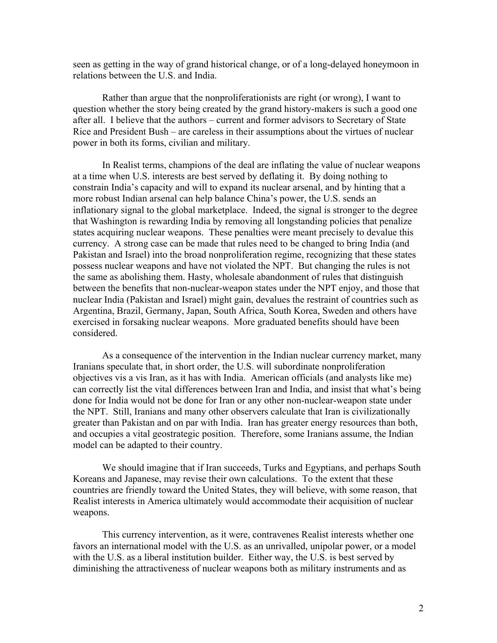seen as getting in the way of grand historical change, or of a long-delayed honeymoon in relations between the U.S. and India.

 Rather than argue that the nonproliferationists are right (or wrong), I want to question whether the story being created by the grand history-makers is such a good one after all. I believe that the authors – current and former advisors to Secretary of State Rice and President Bush – are careless in their assumptions about the virtues of nuclear power in both its forms, civilian and military.

In Realist terms, champions of the deal are inflating the value of nuclear weapons at a time when U.S. interests are best served by deflating it. By doing nothing to constrain India's capacity and will to expand its nuclear arsenal, and by hinting that a more robust Indian arsenal can help balance China's power, the U.S. sends an inflationary signal to the global marketplace. Indeed, the signal is stronger to the degree that Washington is rewarding India by removing all longstanding policies that penalize states acquiring nuclear weapons. These penalties were meant precisely to devalue this currency. A strong case can be made that rules need to be changed to bring India (and Pakistan and Israel) into the broad nonproliferation regime, recognizing that these states possess nuclear weapons and have not violated the NPT. But changing the rules is not the same as abolishing them. Hasty, wholesale abandonment of rules that distinguish between the benefits that non-nuclear-weapon states under the NPT enjoy, and those that nuclear India (Pakistan and Israel) might gain, devalues the restraint of countries such as Argentina, Brazil, Germany, Japan, South Africa, South Korea, Sweden and others have exercised in forsaking nuclear weapons. More graduated benefits should have been considered.

As a consequence of the intervention in the Indian nuclear currency market, many Iranians speculate that, in short order, the U.S. will subordinate nonproliferation objectives vis a vis Iran, as it has with India. American officials (and analysts like me) can correctly list the vital differences between Iran and India, and insist that what's being done for India would not be done for Iran or any other non-nuclear-weapon state under the NPT. Still, Iranians and many other observers calculate that Iran is civilizationally greater than Pakistan and on par with India. Iran has greater energy resources than both, and occupies a vital geostrategic position. Therefore, some Iranians assume, the Indian model can be adapted to their country.

We should imagine that if Iran succeeds, Turks and Egyptians, and perhaps South Koreans and Japanese, may revise their own calculations. To the extent that these countries are friendly toward the United States, they will believe, with some reason, that Realist interests in America ultimately would accommodate their acquisition of nuclear weapons.

This currency intervention, as it were, contravenes Realist interests whether one favors an international model with the U.S. as an unrivalled, unipolar power, or a model with the U.S. as a liberal institution builder. Either way, the U.S. is best served by diminishing the attractiveness of nuclear weapons both as military instruments and as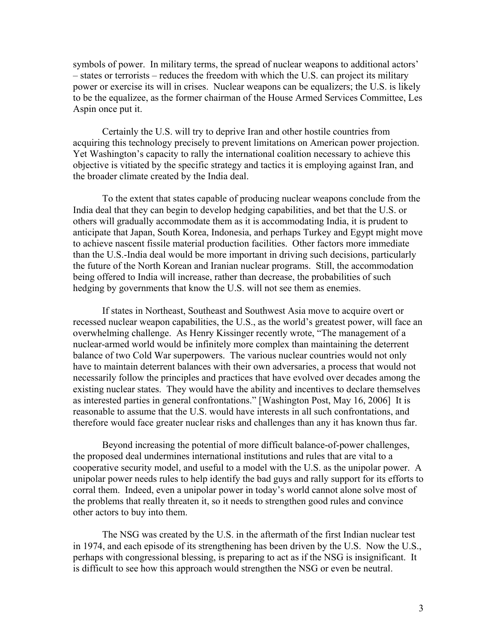symbols of power. In military terms, the spread of nuclear weapons to additional actors' – states or terrorists – reduces the freedom with which the U.S. can project its military power or exercise its will in crises. Nuclear weapons can be equalizers; the U.S. is likely to be the equalizee, as the former chairman of the House Armed Services Committee, Les Aspin once put it.

Certainly the U.S. will try to deprive Iran and other hostile countries from acquiring this technology precisely to prevent limitations on American power projection. Yet Washington's capacity to rally the international coalition necessary to achieve this objective is vitiated by the specific strategy and tactics it is employing against Iran, and the broader climate created by the India deal.

To the extent that states capable of producing nuclear weapons conclude from the India deal that they can begin to develop hedging capabilities, and bet that the U.S. or others will gradually accommodate them as it is accommodating India, it is prudent to anticipate that Japan, South Korea, Indonesia, and perhaps Turkey and Egypt might move to achieve nascent fissile material production facilities. Other factors more immediate than the U.S.-India deal would be more important in driving such decisions, particularly the future of the North Korean and Iranian nuclear programs. Still, the accommodation being offered to India will increase, rather than decrease, the probabilities of such hedging by governments that know the U.S. will not see them as enemies.

If states in Northeast, Southeast and Southwest Asia move to acquire overt or recessed nuclear weapon capabilities, the U.S., as the world's greatest power, will face an overwhelming challenge. As Henry Kissinger recently wrote, "The management of a nuclear-armed world would be infinitely more complex than maintaining the deterrent balance of two Cold War superpowers. The various nuclear countries would not only have to maintain deterrent balances with their own adversaries, a process that would not necessarily follow the principles and practices that have evolved over decades among the existing nuclear states. They would have the ability and incentives to declare themselves as interested parties in general confrontations." [Washington Post, May 16, 2006] It is reasonable to assume that the U.S. would have interests in all such confrontations, and therefore would face greater nuclear risks and challenges than any it has known thus far.

Beyond increasing the potential of more difficult balance-of-power challenges, the proposed deal undermines international institutions and rules that are vital to a cooperative security model, and useful to a model with the U.S. as the unipolar power. A unipolar power needs rules to help identify the bad guys and rally support for its efforts to corral them. Indeed, even a unipolar power in today's world cannot alone solve most of the problems that really threaten it, so it needs to strengthen good rules and convince other actors to buy into them.

The NSG was created by the U.S. in the aftermath of the first Indian nuclear test in 1974, and each episode of its strengthening has been driven by the U.S. Now the U.S., perhaps with congressional blessing, is preparing to act as if the NSG is insignificant. It is difficult to see how this approach would strengthen the NSG or even be neutral.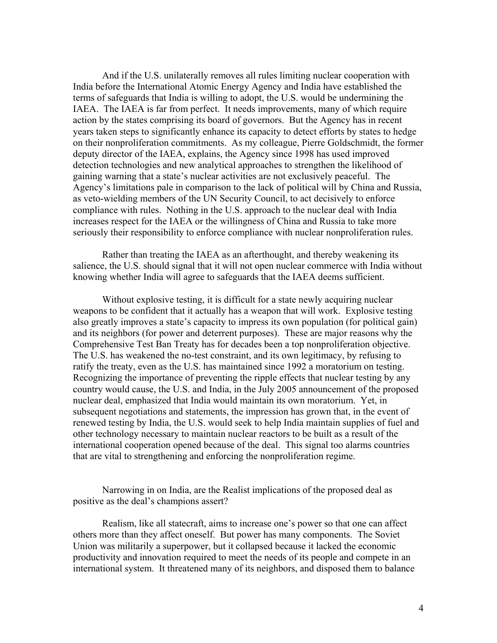And if the U.S. unilaterally removes all rules limiting nuclear cooperation with India before the International Atomic Energy Agency and India have established the terms of safeguards that India is willing to adopt, the U.S. would be undermining the IAEA. The IAEA is far from perfect. It needs improvements, many of which require action by the states comprising its board of governors. But the Agency has in recent years taken steps to significantly enhance its capacity to detect efforts by states to hedge on their nonproliferation commitments. As my colleague, Pierre Goldschmidt, the former deputy director of the IAEA, explains, the Agency since 1998 has used improved detection technologies and new analytical approaches to strengthen the likelihood of gaining warning that a state's nuclear activities are not exclusively peaceful. The Agency's limitations pale in comparison to the lack of political will by China and Russia, as veto-wielding members of the UN Security Council, to act decisively to enforce compliance with rules. Nothing in the U.S. approach to the nuclear deal with India increases respect for the IAEA or the willingness of China and Russia to take more seriously their responsibility to enforce compliance with nuclear nonproliferation rules.

 Rather than treating the IAEA as an afterthought, and thereby weakening its salience, the U.S. should signal that it will not open nuclear commerce with India without knowing whether India will agree to safeguards that the IAEA deems sufficient.

Without explosive testing, it is difficult for a state newly acquiring nuclear weapons to be confident that it actually has a weapon that will work. Explosive testing also greatly improves a state's capacity to impress its own population (for political gain) and its neighbors (for power and deterrent purposes). These are major reasons why the Comprehensive Test Ban Treaty has for decades been a top nonproliferation objective. The U.S. has weakened the no-test constraint, and its own legitimacy, by refusing to ratify the treaty, even as the U.S. has maintained since 1992 a moratorium on testing. Recognizing the importance of preventing the ripple effects that nuclear testing by any country would cause, the U.S. and India, in the July 2005 announcement of the proposed nuclear deal, emphasized that India would maintain its own moratorium. Yet, in subsequent negotiations and statements, the impression has grown that, in the event of renewed testing by India, the U.S. would seek to help India maintain supplies of fuel and other technology necessary to maintain nuclear reactors to be built as a result of the international cooperation opened because of the deal. This signal too alarms countries that are vital to strengthening and enforcing the nonproliferation regime.

Narrowing in on India, are the Realist implications of the proposed deal as positive as the deal's champions assert?

Realism, like all statecraft, aims to increase one's power so that one can affect others more than they affect oneself. But power has many components. The Soviet Union was militarily a superpower, but it collapsed because it lacked the economic productivity and innovation required to meet the needs of its people and compete in an international system. It threatened many of its neighbors, and disposed them to balance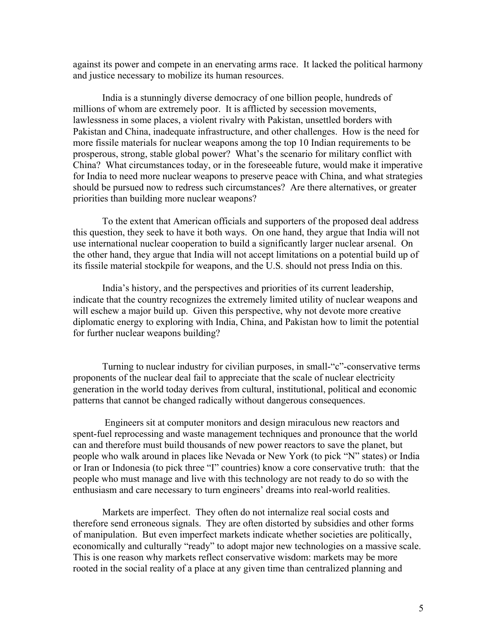against its power and compete in an enervating arms race. It lacked the political harmony and justice necessary to mobilize its human resources.

India is a stunningly diverse democracy of one billion people, hundreds of millions of whom are extremely poor. It is afflicted by secession movements, lawlessness in some places, a violent rivalry with Pakistan, unsettled borders with Pakistan and China, inadequate infrastructure, and other challenges. How is the need for more fissile materials for nuclear weapons among the top 10 Indian requirements to be prosperous, strong, stable global power? What's the scenario for military conflict with China? What circumstances today, or in the foreseeable future, would make it imperative for India to need more nuclear weapons to preserve peace with China, and what strategies should be pursued now to redress such circumstances? Are there alternatives, or greater priorities than building more nuclear weapons?

To the extent that American officials and supporters of the proposed deal address this question, they seek to have it both ways. On one hand, they argue that India will not use international nuclear cooperation to build a significantly larger nuclear arsenal. On the other hand, they argue that India will not accept limitations on a potential build up of its fissile material stockpile for weapons, and the U.S. should not press India on this.

India's history, and the perspectives and priorities of its current leadership, indicate that the country recognizes the extremely limited utility of nuclear weapons and will eschew a major build up. Given this perspective, why not devote more creative diplomatic energy to exploring with India, China, and Pakistan how to limit the potential for further nuclear weapons building?

Turning to nuclear industry for civilian purposes, in small-"c"-conservative terms proponents of the nuclear deal fail to appreciate that the scale of nuclear electricity generation in the world today derives from cultural, institutional, political and economic patterns that cannot be changed radically without dangerous consequences.

 Engineers sit at computer monitors and design miraculous new reactors and spent-fuel reprocessing and waste management techniques and pronounce that the world can and therefore must build thousands of new power reactors to save the planet, but people who walk around in places like Nevada or New York (to pick "N" states) or India or Iran or Indonesia (to pick three "I" countries) know a core conservative truth: that the people who must manage and live with this technology are not ready to do so with the enthusiasm and care necessary to turn engineers' dreams into real-world realities.

 Markets are imperfect. They often do not internalize real social costs and therefore send erroneous signals. They are often distorted by subsidies and other forms of manipulation. But even imperfect markets indicate whether societies are politically, economically and culturally "ready" to adopt major new technologies on a massive scale. This is one reason why markets reflect conservative wisdom: markets may be more rooted in the social reality of a place at any given time than centralized planning and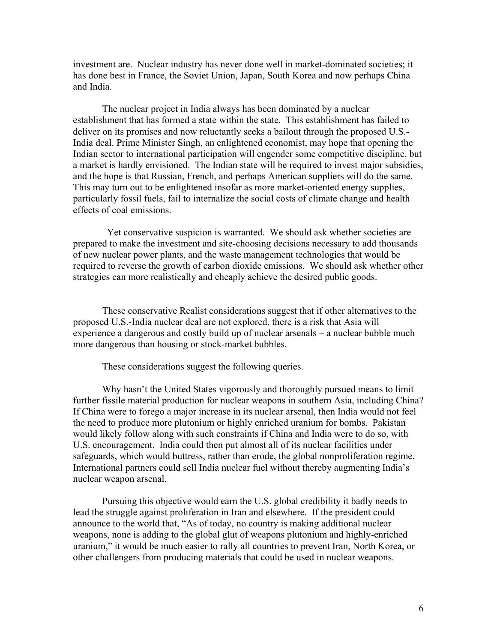investment are. Nuclear industry has never done well in market-dominated societies; it has done best in France, the Soviet Union, Japan, South Korea and now perhaps China and India.

The nuclear project in India always has been dominated by a nuclear establishment that has formed a state within the state. This establishment has failed to deliver on its promises and now reluctantly seeks a bailout through the proposed U.S.- India deal. Prime Minister Singh, an enlightened economist, may hope that opening the Indian sector to international participation will engender some competitive discipline, but a market is hardly envisioned. The Indian state will be required to invest major subsidies, and the hope is that Russian, French, and perhaps American suppliers will do the same. This may turn out to be enlightened insofar as more market-oriented energy supplies, particularly fossil fuels, fail to internalize the social costs of climate change and health effects of coal emissions.

 Yet conservative suspicion is warranted. We should ask whether societies are prepared to make the investment and site-choosing decisions necessary to add thousands of new nuclear power plants, and the waste management technologies that would be required to reverse the growth of carbon dioxide emissions. We should ask whether other strategies can more realistically and cheaply achieve the desired public goods.

 These conservative Realist considerations suggest that if other alternatives to the proposed U.S.-India nuclear deal are not explored, there is a risk that Asia will experience a dangerous and costly build up of nuclear arsenals – a nuclear bubble much more dangerous than housing or stock-market bubbles.

These considerations suggest the following queries.

Why hasn't the United States vigorously and thoroughly pursued means to limit further fissile material production for nuclear weapons in southern Asia, including China? If China were to forego a major increase in its nuclear arsenal, then India would not feel the need to produce more plutonium or highly enriched uranium for bombs. Pakistan would likely follow along with such constraints if China and India were to do so, with U.S. encouragement. India could then put almost all of its nuclear facilities under safeguards, which would buttress, rather than erode, the global nonproliferation regime. International partners could sell India nuclear fuel without thereby augmenting India's nuclear weapon arsenal.

Pursuing this objective would earn the U.S. global credibility it badly needs to lead the struggle against proliferation in Iran and elsewhere. If the president could announce to the world that, "As of today, no country is making additional nuclear weapons, none is adding to the global glut of weapons plutonium and highly-enriched uranium," it would be much easier to rally all countries to prevent Iran, North Korea, or other challengers from producing materials that could be used in nuclear weapons.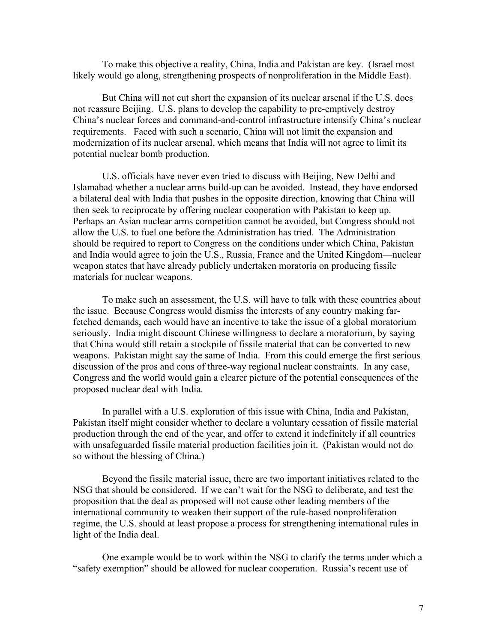To make this objective a reality, China, India and Pakistan are key. (Israel most likely would go along, strengthening prospects of nonproliferation in the Middle East).

But China will not cut short the expansion of its nuclear arsenal if the U.S. does not reassure Beijing. U.S. plans to develop the capability to pre-emptively destroy China's nuclear forces and command-and-control infrastructure intensify China's nuclear requirements. Faced with such a scenario, China will not limit the expansion and modernization of its nuclear arsenal, which means that India will not agree to limit its potential nuclear bomb production.

U.S. officials have never even tried to discuss with Beijing, New Delhi and Islamabad whether a nuclear arms build-up can be avoided. Instead, they have endorsed a bilateral deal with India that pushes in the opposite direction, knowing that China will then seek to reciprocate by offering nuclear cooperation with Pakistan to keep up. Perhaps an Asian nuclear arms competition cannot be avoided, but Congress should not allow the U.S. to fuel one before the Administration has tried. The Administration should be required to report to Congress on the conditions under which China, Pakistan and India would agree to join the U.S., Russia, France and the United Kingdom—nuclear weapon states that have already publicly undertaken moratoria on producing fissile materials for nuclear weapons.

To make such an assessment, the U.S. will have to talk with these countries about the issue. Because Congress would dismiss the interests of any country making farfetched demands, each would have an incentive to take the issue of a global moratorium seriously. India might discount Chinese willingness to declare a moratorium, by saying that China would still retain a stockpile of fissile material that can be converted to new weapons. Pakistan might say the same of India. From this could emerge the first serious discussion of the pros and cons of three-way regional nuclear constraints. In any case, Congress and the world would gain a clearer picture of the potential consequences of the proposed nuclear deal with India.

 In parallel with a U.S. exploration of this issue with China, India and Pakistan, Pakistan itself might consider whether to declare a voluntary cessation of fissile material production through the end of the year, and offer to extend it indefinitely if all countries with unsafeguarded fissile material production facilities join it. (Pakistan would not do so without the blessing of China.)

 Beyond the fissile material issue, there are two important initiatives related to the NSG that should be considered. If we can't wait for the NSG to deliberate, and test the proposition that the deal as proposed will not cause other leading members of the international community to weaken their support of the rule-based nonproliferation regime, the U.S. should at least propose a process for strengthening international rules in light of the India deal.

 One example would be to work within the NSG to clarify the terms under which a "safety exemption" should be allowed for nuclear cooperation. Russia's recent use of